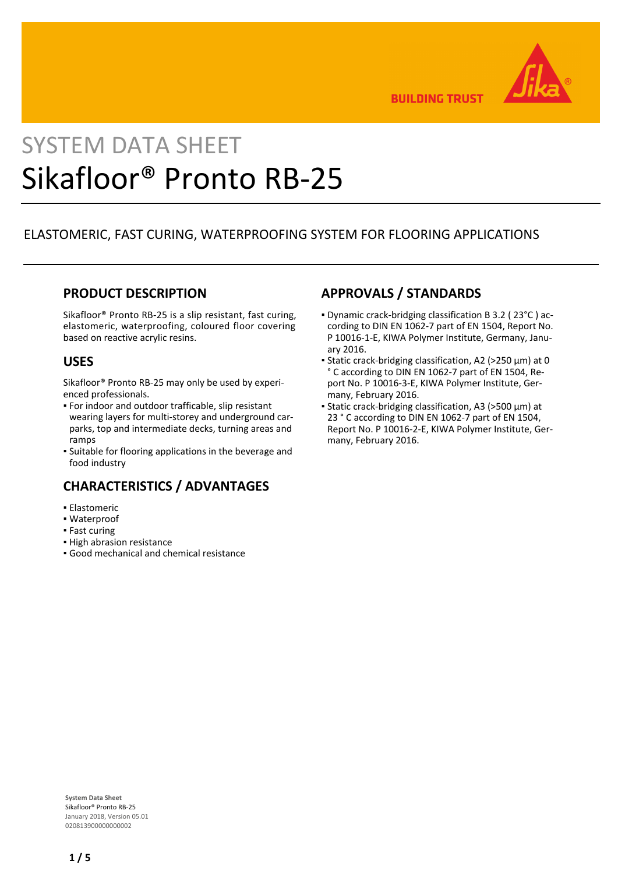

**BUILDING TRUST** 

# SYSTEM DATA SHEET Sikafloor® Pronto RB-25

# ELASTOMERIC, FAST CURING, WATERPROOFING SYSTEM FOR FLOORING APPLICATIONS

## **PRODUCT DESCRIPTION**

Sikafloor® Pronto RB-25 is a slip resistant, fast curing, elastomeric, waterproofing, coloured floor covering based on reactive acrylic resins.

## **USES**

Sikafloor® Pronto RB-25 may only be used by experienced professionals.

- For indoor and outdoor trafficable, slip resistant wearing layers for multi-storey and underground carparks, top and intermediate decks, turning areas and ramps
- **·** Suitable for flooring applications in the beverage and food industry

## **CHARACTERISTICS / ADVANTAGES**

- Elastomeric
- Waterproof
- **Fast curing**
- **· High abrasion resistance**
- Good mechanical and chemical resistance

## **APPROVALS / STANDARDS**

- Dynamic crack-bridging classification B 3.2 ( 23°C ) ac-▪ cording to DIN EN 1062-7 part of EN 1504, Report No. P 10016-1-E, KIWA Polymer Institute, Germany, January 2016.
- Static crack-bridging classification, A2 (>250 μm) at 0 ° C according to DIN EN 1062-7 part of EN 1504, Report No. P 10016-3-E, KIWA Polymer Institute, Germany, February 2016.
- Static crack-bridging classification, A3 (>500 μm) at 23 ° C according to DIN EN 1062-7 part of EN 1504, Report No. P 10016-2-E, KIWA Polymer Institute, Germany, February 2016.

**System Data Sheet** Sikafloor® Pronto RB-25 January 2018, Version 05.01 020813900000000002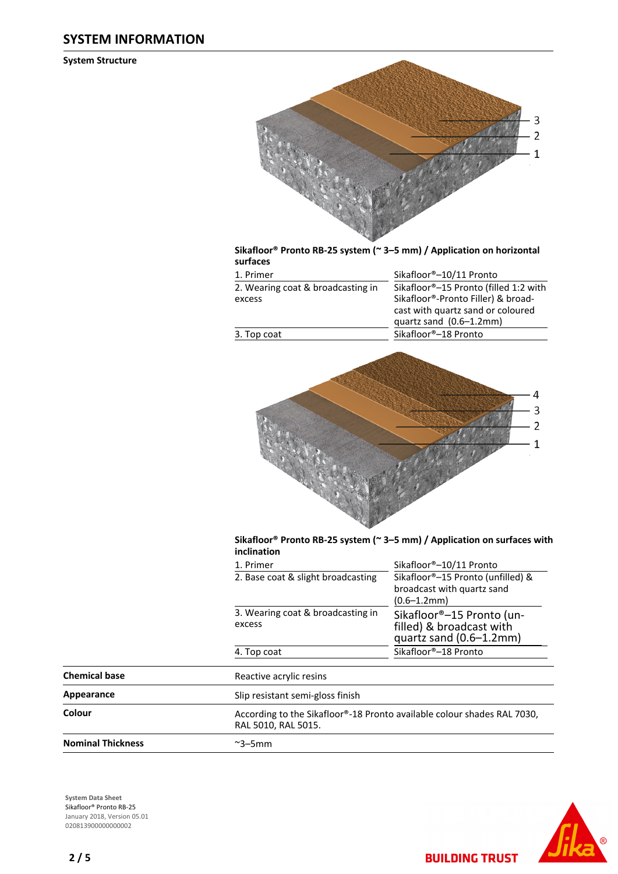#### **SYSTEM INFORMATION**

**System Structure**



**Sikafloor® Pronto RB-25 system (~ 3–5 mm) / Application on horizontal surfaces**

| 1. Primer                         | Sikafloor®-10/11 Pronto               |
|-----------------------------------|---------------------------------------|
| 2. Wearing coat & broadcasting in | Sikafloor®-15 Pronto (filled 1:2 with |
| excess                            | Sikafloor®-Pronto Filler) & broad-    |
|                                   | cast with quartz sand or coloured     |
|                                   | quartz sand $(0.6-1.2$ mm)            |



#### **Sikafloor® Pronto RB-25 system (~ 3–5 mm) / Application on surfaces with inclination**

|                          | 1. Primer                                                                                      | Sikafloor®-10/11 Pronto                                                                |  |
|--------------------------|------------------------------------------------------------------------------------------------|----------------------------------------------------------------------------------------|--|
|                          | 2. Base coat & slight broadcasting                                                             | Sikafloor®-15 Pronto (unfilled) &<br>broadcast with quartz sand<br>$(0.6 - 1.2$ mm $)$ |  |
|                          | 3. Wearing coat & broadcasting in<br>excess                                                    | Sikafloor®-15 Pronto (un-<br>filled) & broadcast with<br>quartz sand $(0.6-1.2$ mm $)$ |  |
|                          | 4. Top coat                                                                                    | Sikafloor®-18 Pronto                                                                   |  |
| <b>Chemical base</b>     | Reactive acrylic resins                                                                        |                                                                                        |  |
| Appearance               | Slip resistant semi-gloss finish                                                               |                                                                                        |  |
| Colour                   | According to the Sikafloor®-18 Pronto available colour shades RAL 7030,<br>RAL 5010, RAL 5015. |                                                                                        |  |
| <b>Nominal Thickness</b> | $\sim$ 3–5mm                                                                                   |                                                                                        |  |

**System Data Sheet** Sikafloor® Pronto RB-25 January 2018, Version 05.01 020813900000000002



**BUILDING TRUST**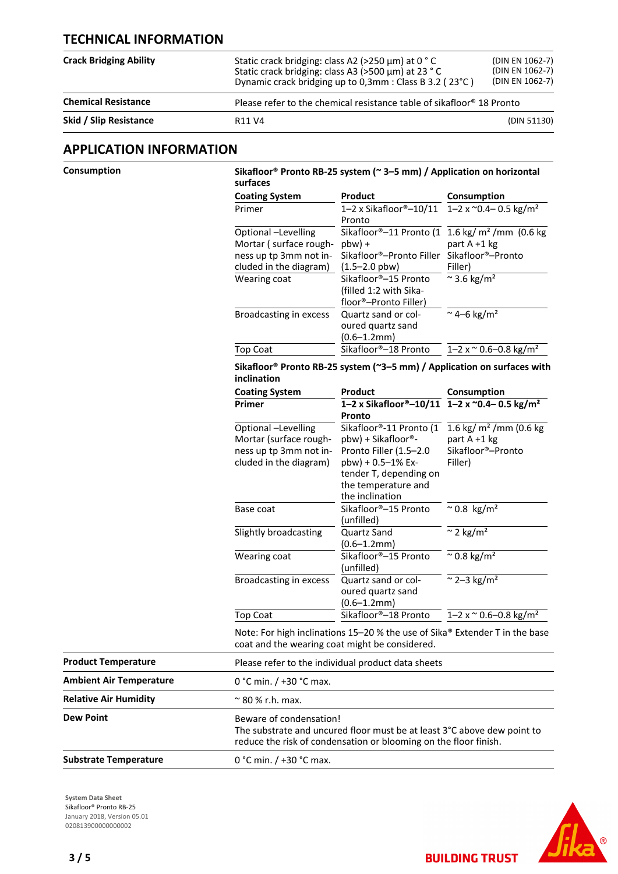## **TECHNICAL INFORMATION**

| <b>Crack Bridging Ability</b> | Static crack bridging: class A2 (>250 µm) at 0 °C<br>Static crack bridging: class A3 (>500 µm) at 23 °C<br>Dynamic crack bridging up to 0,3mm : Class B 3.2 (23°C) | (DIN EN 1062-7)<br>(DIN EN 1062-7)<br>(DIN EN 1062-7)                             |  |  |
|-------------------------------|--------------------------------------------------------------------------------------------------------------------------------------------------------------------|-----------------------------------------------------------------------------------|--|--|
| <b>Chemical Resistance</b>    |                                                                                                                                                                    | Please refer to the chemical resistance table of sikafloor <sup>®</sup> 18 Pronto |  |  |
| Skid / Slip Resistance        | R <sub>11</sub> V <sub>4</sub>                                                                                                                                     | (DIN 51130)                                                                       |  |  |

#### **APPLICATION INFORMATION**

| Consumption                    | Sikafloor <sup>®</sup> Pronto RB-25 system ( $\approx$ 3–5 mm) / Application on horizontal<br>surfaces                        |                                                                                                                                             |                                                                                                            |  |
|--------------------------------|-------------------------------------------------------------------------------------------------------------------------------|---------------------------------------------------------------------------------------------------------------------------------------------|------------------------------------------------------------------------------------------------------------|--|
|                                | <b>Coating System</b>                                                                                                         | Product                                                                                                                                     | Consumption                                                                                                |  |
|                                | Primer                                                                                                                        | 1-2 x Sikafloor®-10/11<br>Pronto                                                                                                            | 1-2 x $^{\sim}$ 0.4-0.5 kg/m <sup>2</sup>                                                                  |  |
|                                | Optional -Levelling<br>Mortar (surface rough-<br>ness up tp 3mm not in-<br>cluded in the diagram)                             | $pbw$ ) +<br>Sikafloor®-Pronto Filler<br>$(1.5 - 2.0$ pbw)                                                                                  | Sikafloor®-11 Pronto (1 1.6 kg/ m <sup>2</sup> /mm (0.6 kg<br>part A +1 kg<br>Sikafloor®-Pronto<br>Filler) |  |
|                                | Wearing coat                                                                                                                  | Sikafloor®-15 Pronto<br>(filled 1:2 with Sika-<br>floor®-Pronto Filler)                                                                     | $\approx$ 3.6 kg/m <sup>2</sup>                                                                            |  |
|                                | Broadcasting in excess                                                                                                        | Quartz sand or col-<br>oured quartz sand<br>$(0.6 - 1.2$ mm $)$                                                                             | ~4-6 kg/m <sup>2</sup>                                                                                     |  |
|                                | <b>Top Coat</b>                                                                                                               | Sikafloor®-18 Pronto                                                                                                                        | $1 - 2 \times 0.6 - 0.8 \text{ kg/m}^2$                                                                    |  |
|                                | Sikafloor <sup>®</sup> Pronto RB-25 system (~3–5 mm) / Application on surfaces with<br>inclination                            |                                                                                                                                             |                                                                                                            |  |
|                                | <b>Coating System</b>                                                                                                         | Product                                                                                                                                     | Consumption                                                                                                |  |
|                                | Primer                                                                                                                        | 1-2 x Sikafloor®-10/11 1-2 x ~0.4-0.5 kg/m <sup>2</sup><br>Pronto                                                                           |                                                                                                            |  |
|                                | Optional -Levelling<br>Mortar (surface rough-<br>ness up tp 3mm not in-                                                       | Sikafloor®-11 Pronto (1<br>pbw) + Sikafloor®-<br>Pronto Filler (1.5-2.0                                                                     | 1.6 kg/ $m2$ /mm (0.6 kg<br>part A +1 kg<br>Sikafloor®-Pronto                                              |  |
|                                | cluded in the diagram)                                                                                                        | pbw) + 0.5-1% Ex-<br>tender T, depending on<br>the temperature and<br>the inclination                                                       | Filler)                                                                                                    |  |
|                                | Base coat                                                                                                                     | Sikafloor®-15 Pronto<br>(unfilled)                                                                                                          | $^{\sim}$ 0.8 kg/m <sup>2</sup>                                                                            |  |
|                                | Slightly broadcasting                                                                                                         | Quartz Sand<br>$(0.6 - 1.2$ mm $)$                                                                                                          | $\approx$ 2 kg/m <sup>2</sup>                                                                              |  |
|                                | Wearing coat                                                                                                                  | Sikafloor®-15 Pronto<br>(unfilled)                                                                                                          | $\sim$ 0.8 kg/m <sup>2</sup>                                                                               |  |
|                                | Broadcasting in excess                                                                                                        | Quartz sand or col-<br>oured quartz sand<br>$(0.6 - 1.2$ mm $)$                                                                             | $\approx$ 2-3 kg/m <sup>2</sup>                                                                            |  |
|                                | <b>Top Coat</b>                                                                                                               | Sikafloor®-18 Pronto                                                                                                                        | $1 - 2 \times 0.6 - 0.8 \text{ kg/m}^2$                                                                    |  |
|                                | Note: For high inclinations 15-20 % the use of Sika® Extender T in the base<br>coat and the wearing coat might be considered. |                                                                                                                                             |                                                                                                            |  |
| <b>Product Temperature</b>     |                                                                                                                               | Please refer to the individual product data sheets                                                                                          |                                                                                                            |  |
| <b>Ambient Air Temperature</b> | 0 °C min. / +30 °C max.                                                                                                       |                                                                                                                                             |                                                                                                            |  |
| <b>Relative Air Humidity</b>   | $\approx$ 80 % r.h. max.                                                                                                      |                                                                                                                                             |                                                                                                            |  |
| <b>Dew Point</b>               | Beware of condensation!                                                                                                       | The substrate and uncured floor must be at least 3°C above dew point to<br>reduce the risk of condensation or blooming on the floor finish. |                                                                                                            |  |
| <b>Substrate Temperature</b>   | 0 °C min. / +30 °C max.                                                                                                       |                                                                                                                                             |                                                                                                            |  |

**System Data Sheet** Sikafloor® Pronto RB-25 January 2018, Version 05.01 0208139000000000002



**BUILDING TRUST**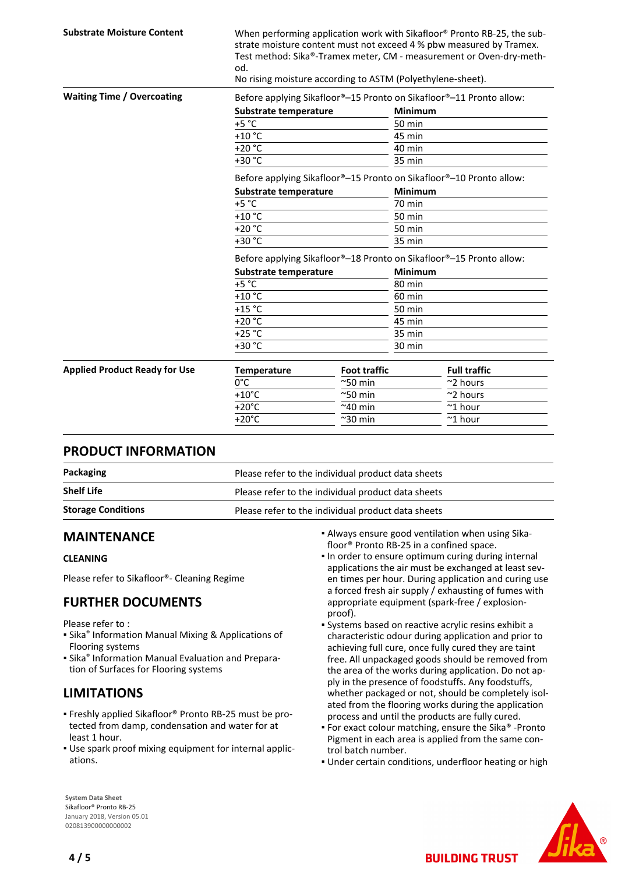| <b>Substrate Moisture Content</b>    | When performing application work with Sikafloor® Pronto RB-25, the sub-<br>strate moisture content must not exceed 4 % pbw measured by Tramex.<br>Test method: Sika®-Tramex meter, CM - measurement or Oven-dry-meth-<br>od.<br>No rising moisture according to ASTM (Polyethylene-sheet). |                     |                |                                                                     |
|--------------------------------------|--------------------------------------------------------------------------------------------------------------------------------------------------------------------------------------------------------------------------------------------------------------------------------------------|---------------------|----------------|---------------------------------------------------------------------|
| <b>Waiting Time / Overcoating</b>    | Before applying Sikafloor®-15 Pronto on Sikafloor®-11 Pronto allow:                                                                                                                                                                                                                        |                     |                |                                                                     |
|                                      | Substrate temperature                                                                                                                                                                                                                                                                      |                     | <b>Minimum</b> |                                                                     |
|                                      | $+5 °C$                                                                                                                                                                                                                                                                                    |                     | $50$ min       |                                                                     |
|                                      | $+10$ °C                                                                                                                                                                                                                                                                                   |                     | 45 min         |                                                                     |
|                                      | $+20 °C$                                                                                                                                                                                                                                                                                   |                     | 40 min         |                                                                     |
|                                      | +30 °C                                                                                                                                                                                                                                                                                     |                     | 35 min         |                                                                     |
|                                      | Before applying Sikafloor®-15 Pronto on Sikafloor®-10 Pronto allow:                                                                                                                                                                                                                        |                     |                |                                                                     |
|                                      | Substrate temperature<br><b>Minimum</b>                                                                                                                                                                                                                                                    |                     |                |                                                                     |
|                                      | $+5 °C$                                                                                                                                                                                                                                                                                    |                     | 70 min         |                                                                     |
|                                      | $+10$ °C                                                                                                                                                                                                                                                                                   |                     | <b>50 min</b>  |                                                                     |
|                                      | $+20 °C$                                                                                                                                                                                                                                                                                   |                     | 50 min         |                                                                     |
|                                      | $+30 °C$                                                                                                                                                                                                                                                                                   |                     | 35 min         |                                                                     |
|                                      |                                                                                                                                                                                                                                                                                            |                     |                | Before applying Sikafloor®-18 Pronto on Sikafloor®-15 Pronto allow: |
|                                      | Substrate temperature                                                                                                                                                                                                                                                                      |                     | <b>Minimum</b> |                                                                     |
|                                      | $+5 °C$                                                                                                                                                                                                                                                                                    |                     | 80 min         |                                                                     |
|                                      | $+10$ °C                                                                                                                                                                                                                                                                                   |                     | $60$ min       |                                                                     |
|                                      | $+15$ °C                                                                                                                                                                                                                                                                                   |                     | 50 min         |                                                                     |
|                                      | $+20 °C$                                                                                                                                                                                                                                                                                   |                     | 45 min         |                                                                     |
|                                      | $+25 °C$                                                                                                                                                                                                                                                                                   |                     | 35 min         |                                                                     |
|                                      | $+30 °C$                                                                                                                                                                                                                                                                                   |                     | 30 min         |                                                                     |
| <b>Applied Product Ready for Use</b> | <b>Temperature</b>                                                                                                                                                                                                                                                                         | <b>Foot traffic</b> |                | <b>Full traffic</b>                                                 |
|                                      | $0^{\circ}$ C                                                                                                                                                                                                                                                                              | $^{\sim}$ 50 min    |                | ~2 hours                                                            |
|                                      | $+10^{\circ}$ C                                                                                                                                                                                                                                                                            | $^{\sim}$ 50 min    |                | ~2 hours                                                            |
|                                      | $+20^{\circ}$ C                                                                                                                                                                                                                                                                            | $~240$ min          |                | $~^{\sim}$ 1 hour                                                   |
|                                      | $+20^{\circ}$ C                                                                                                                                                                                                                                                                            | $^{\sim}$ 30 min    |                | $~^{\sim}$ 1 hour                                                   |

#### **PRODUCT INFORMATION**

| Packaging                 | Please refer to the individual product data sheets |  |
|---------------------------|----------------------------------------------------|--|
| <b>Shelf Life</b>         | Please refer to the individual product data sheets |  |
| <b>Storage Conditions</b> | Please refer to the individual product data sheets |  |

#### **MAINTENANCE**

#### **CLEANING**

Please refer to Sikafloor®- Cleaning Regime

## **FURTHER DOCUMENTS**

Please refer to :

- **E** Sika<sup>®</sup> Information Manual Mixing & Applications of Flooring systems
- **E** Sika<sup>®</sup> Information Manual Evaluation and Preparation of Surfaces for Flooring systems

## **LIMITATIONS**

- Freshly applied Sikafloor® Pronto RB-25 must be pro-▪ tected from damp, condensation and water for at least 1 hour.
- Use spark proof mixing equipment for internal applic-▪ ations.
- Always ensure good ventilation when using Sika-▪ floor® Pronto RB-25 in a confined space.
- . In order to ensure optimum curing during internal applications the air must be exchanged at least seven times per hour. During application and curing use a forced fresh air supply / exhausting of fumes with appropriate equipment (spark-free / explosionproof).
- Systems based on reactive acrylic resins exhibit a characteristic odour during application and prior to achieving full cure, once fully cured they are taint free. All unpackaged goods should be removed from the area of the works during application. Do not apply in the presence of foodstuffs. Any foodstuffs, whether packaged or not, should be completely isolated from the flooring works during the application process and until the products are fully cured.
- For exact colour matching, ensure the Sika® -Pronto Pigment in each area is applied from the same control batch number.
- Under certain conditions, underfloor heating or high

**BUILDING TRUST** 



**System Data Sheet** Sikafloor® Pronto RB-25 January 2018, Version 05.01 020813900000000002